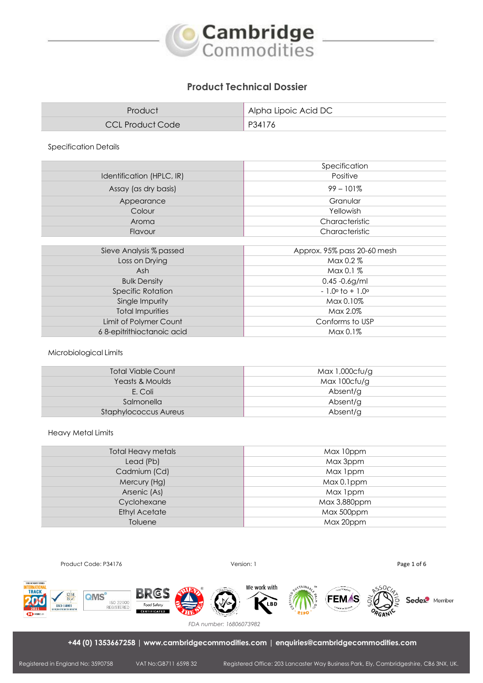

# **Product Technical Dossier**

| Product          | Alpha Lipoic Acid DC |
|------------------|----------------------|
| CCL Product Code | P34176               |

Specification Details

|                           | Specification                    |  |
|---------------------------|----------------------------------|--|
| Identification (HPLC, IR) | Positive                         |  |
| Assay (as dry basis)      | $99 - 101\%$                     |  |
| Appearance                | Granular                         |  |
| Colour                    | Yellowish                        |  |
| Aroma                     | Characteristic                   |  |
| Flavour                   | Characteristic                   |  |
|                           |                                  |  |
| Sieve Analysis % passed   | Approx. 95% pass 20-60 mesh      |  |
| Loss on Drying            | Max $0.2\%$                      |  |
| Ash                       | Max 0.1 %                        |  |
| <b>Bulk Density</b>       | $0.45 - 0.6$ g/ml                |  |
| <b>Specific Rotation</b>  | $-1.0^{\circ}$ to $+1.0^{\circ}$ |  |
| Single Impurity           | Max 0.10%                        |  |
| <b>Total Impurities</b>   | Max 2.0%                         |  |
| Limit of Polymer Count    | Conforms to USP                  |  |
| 68-epitrithioctanoic acid | Max 0.1%                         |  |

## Microbiological Limits

| Max 1,000cfu/g |
|----------------|
| Max 100cfu/g   |
| Absent/g       |
| Absent/g       |
| Absent/g       |
|                |

#### Heavy Metal Limits

| Total Heavy metals   | Max 10ppm    |
|----------------------|--------------|
| Lead (Pb)            | Max 3ppm     |
| Cadmium (Cd)         | Max 1ppm     |
| Mercury (Hg)         | Max 0.1ppm   |
| Arsenic (As)         | Max 1ppm     |
| Cyclohexane          | Max 3,880ppm |
| <b>Ethyl Acetate</b> | Max 500ppm   |
| Toluene              | Max 20ppm    |
|                      |              |





*FDA number: 16806073982*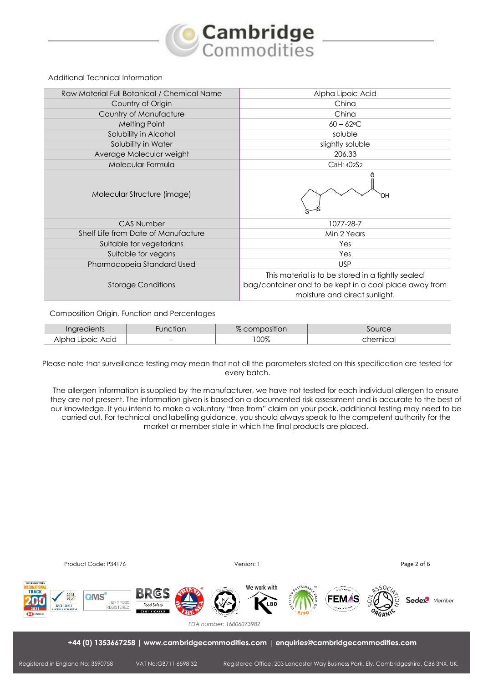

### Additional Technical Information

| Raw Material Full Botanical / Chemical Name | Alpha Lipoic Acid                                                                                                                            |  |  |
|---------------------------------------------|----------------------------------------------------------------------------------------------------------------------------------------------|--|--|
| Country of Origin                           | China                                                                                                                                        |  |  |
| Country of Manufacture                      | China                                                                                                                                        |  |  |
| Melting Point                               | $60 - 62$ °C                                                                                                                                 |  |  |
| Solubility in Alcohol                       | soluble                                                                                                                                      |  |  |
| Solubility in Water                         | slightly soluble                                                                                                                             |  |  |
| Average Molecular weight                    | 206.33                                                                                                                                       |  |  |
| Molecular Formula                           | C8H1402S2                                                                                                                                    |  |  |
| Molecular Structure (image)                 |                                                                                                                                              |  |  |
| <b>CAS Number</b>                           | 1077-28-7                                                                                                                                    |  |  |
| Shelf Life from Date of Manufacture         | Min 2 Years                                                                                                                                  |  |  |
| Suitable for vegetarians                    | Yes                                                                                                                                          |  |  |
| Suitable for vegans                         | Yes                                                                                                                                          |  |  |
| Pharmacopeia Standard Used                  | <b>USP</b>                                                                                                                                   |  |  |
| <b>Storage Conditions</b>                   | This material is to be stored in a tightly sealed<br>bag/container and to be kept in a cool place away from<br>moisture and direct sunlight. |  |  |

### Composition Origin, Function and Percentages

| ın                           |        | SHIOH | $\sim$ 11 Irc. |
|------------------------------|--------|-------|----------------|
| ACIC<br>ഹവറ<br>$\mathcal{M}$ | $\sim$ | 00%   | :mic.a         |

Please note that surveillance testing may mean that not all the parameters stated on this specification are tested for every batch.

The allergen information is supplied by the manufacturer, we have not tested for each individual allergen to ensure they are not present. The information given is based on a documented risk assessment and is accurate to the best of our knowledge. If you intend to make a voluntary "free from" claim on your pack, additional testing may need to be carried out. For technical and labelling guidance, you should always speak to the competent authority for the market or member state in which the final products are placed.

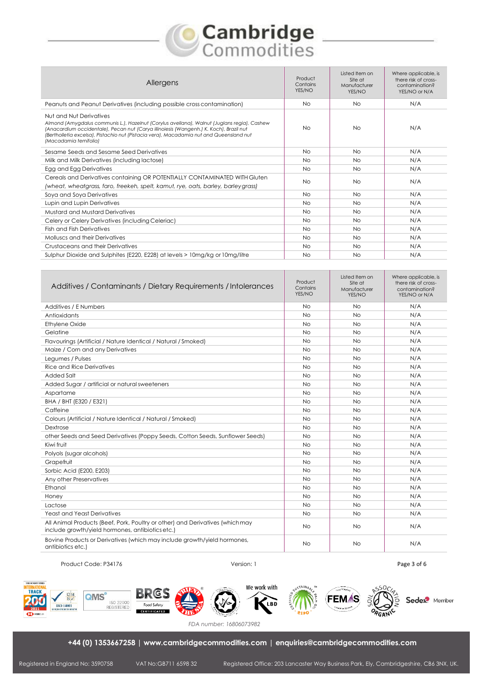# **Cambridge**<br>Commodities

| Allergens                                                                                                                                                                                                                                                                                                                             | Product<br>Contains<br>YES/NO | Listed Item on<br>Site at<br>Manufacturer<br>YES/NO | Where applicable, is<br>there risk of cross-<br>contamination?<br>YES/NO or N/A |
|---------------------------------------------------------------------------------------------------------------------------------------------------------------------------------------------------------------------------------------------------------------------------------------------------------------------------------------|-------------------------------|-----------------------------------------------------|---------------------------------------------------------------------------------|
| Peanuts and Peanut Derivatives (including possible cross contamination)                                                                                                                                                                                                                                                               | <b>No</b>                     | No.                                                 | N/A                                                                             |
| Nut and Nut Derivatives<br>Almond (Amygdalus communis L.), Hazelnut (Corylus avellana), Walnut (Juglans regia), Cashew<br>(Anacardium occidentale), Pecan nut (Carya illinoiesis (Wangenh.) K. Koch), Brazil nut<br>(Bertholletia excelsa), Pistachio nut (Pistacia vera), Macadamia nut and Queensland nut<br>(Macadamia ternifolia) | <b>No</b>                     | <b>No</b>                                           | N/A                                                                             |
| Sesame Seeds and Sesame Seed Derivatives                                                                                                                                                                                                                                                                                              | <b>No</b>                     | <b>No</b>                                           | N/A                                                                             |
| Milk and Milk Derivatives (including lactose)                                                                                                                                                                                                                                                                                         | <b>No</b>                     | <b>No</b>                                           | N/A                                                                             |
| Egg and Egg Derivatives                                                                                                                                                                                                                                                                                                               | No.                           | <b>No</b>                                           | N/A                                                                             |
| Cereals and Derivatives containing OR POTENTIALLY CONTAMINATED WITH Gluten<br>(wheat, wheatgrass, faro, freekeh, spelt, kamut, rye, oats, barley, barley grass)                                                                                                                                                                       | <b>No</b>                     | <b>No</b>                                           | N/A                                                                             |
| Soya and Soya Derivatives                                                                                                                                                                                                                                                                                                             | <b>No</b>                     | <b>No</b>                                           | N/A                                                                             |
| Lupin and Lupin Derivatives                                                                                                                                                                                                                                                                                                           | <b>No</b>                     | <b>No</b>                                           | N/A                                                                             |
| Mustard and Mustard Derivatives                                                                                                                                                                                                                                                                                                       | <b>No</b>                     | <b>No</b>                                           | N/A                                                                             |
| Celery or Celery Derivatives (including Celeriac)                                                                                                                                                                                                                                                                                     | <b>No</b>                     | <b>No</b>                                           | N/A                                                                             |
| <b>Fish and Fish Derivatives</b>                                                                                                                                                                                                                                                                                                      | <b>No</b>                     | <b>No</b>                                           | N/A                                                                             |
| Molluscs and their Derivatives                                                                                                                                                                                                                                                                                                        | <b>No</b>                     | <b>No</b>                                           | N/A                                                                             |
| Crustaceans and their Derivatives                                                                                                                                                                                                                                                                                                     | <b>No</b>                     | <b>No</b>                                           | N/A                                                                             |
| Sulphur Dioxide and Sulphites (E220, E228) at levels > 10mg/kg or 10mg/litre                                                                                                                                                                                                                                                          | <b>No</b>                     | <b>No</b>                                           | N/A                                                                             |

| Additives / Contaminants / Dietary Requirements / Intolerances                                                                    | Product<br>Contains<br>YES/NO | Listed Item on<br>Site at<br>Manufacturer<br>YES/NO | Where applicable, is<br>there risk of cross-<br>contamination?<br>YES/NO or N/A |
|-----------------------------------------------------------------------------------------------------------------------------------|-------------------------------|-----------------------------------------------------|---------------------------------------------------------------------------------|
| Additives / E Numbers                                                                                                             | <b>No</b>                     | <b>No</b>                                           | N/A                                                                             |
| Antioxidants                                                                                                                      | No                            | <b>No</b>                                           | N/A                                                                             |
| <b>Ethylene Oxide</b>                                                                                                             | <b>No</b>                     | <b>No</b>                                           | N/A                                                                             |
| Gelatine                                                                                                                          | <b>No</b>                     | <b>No</b>                                           | N/A                                                                             |
| Flavourings (Artificial / Nature Identical / Natural / Smoked)                                                                    | <b>No</b>                     | <b>No</b>                                           | N/A                                                                             |
| Maize / Corn and any Derivatives                                                                                                  | <b>No</b>                     | <b>No</b>                                           | N/A                                                                             |
| Legumes / Pulses                                                                                                                  | <b>No</b>                     | <b>No</b>                                           | N/A                                                                             |
| <b>Rice and Rice Derivatives</b>                                                                                                  | <b>No</b>                     | <b>No</b>                                           | N/A                                                                             |
| Added Salt                                                                                                                        | <b>No</b>                     | <b>No</b>                                           | N/A                                                                             |
| Added Sugar / artificial or natural sweeteners                                                                                    | <b>No</b>                     | <b>No</b>                                           | N/A                                                                             |
| Aspartame                                                                                                                         | <b>No</b>                     | <b>No</b>                                           | N/A                                                                             |
| BHA / BHT (E320 / E321)                                                                                                           | <b>No</b>                     | <b>No</b>                                           | N/A                                                                             |
| Caffeine                                                                                                                          | <b>No</b>                     | <b>No</b>                                           | N/A                                                                             |
| Colours (Artificial / Nature Identical / Natural / Smoked)                                                                        | <b>No</b>                     | <b>No</b>                                           | N/A                                                                             |
| Dextrose                                                                                                                          | <b>No</b>                     | <b>No</b>                                           | N/A                                                                             |
| other Seeds and Seed Derivatives (Poppy Seeds, Cotton Seeds, Sunflower Seeds)                                                     | No                            | <b>No</b>                                           | N/A                                                                             |
| Kiwi fruit                                                                                                                        | <b>No</b>                     | <b>No</b>                                           | N/A                                                                             |
| Polyols (sugar alcohols)                                                                                                          | <b>No</b>                     | <b>No</b>                                           | N/A                                                                             |
| Grapefruit                                                                                                                        | <b>No</b>                     | <b>No</b>                                           | N/A                                                                             |
| Sorbic Acid (E200, E203)                                                                                                          | <b>No</b>                     | <b>No</b>                                           | N/A                                                                             |
| Any other Preservatives                                                                                                           | <b>No</b>                     | <b>No</b>                                           | N/A                                                                             |
| Ethanol                                                                                                                           | <b>No</b>                     | <b>No</b>                                           | N/A                                                                             |
| Honey                                                                                                                             | <b>No</b>                     | <b>No</b>                                           | N/A                                                                             |
| Lactose                                                                                                                           | <b>No</b>                     | <b>No</b>                                           | N/A                                                                             |
| <b>Yeast and Yeast Derivatives</b>                                                                                                | <b>No</b>                     | <b>No</b>                                           | N/A                                                                             |
| All Animal Products (Beef, Pork, Poultry or other) and Derivatives (which may<br>include growth/yield hormones, antibiotics etc.) | <b>No</b>                     | No.                                                 | N/A                                                                             |
| Bovine Products or Derivatives (which may include growth/yield hormones,<br>antibiotics etc.)                                     | <b>No</b>                     | <b>No</b>                                           | N/A                                                                             |

Product Code: P34176 **Product Code: P34176 Product Code: P34176 Page 3 of 6 Version: 1** Page 3 of 6



*FDA number: 16806073982*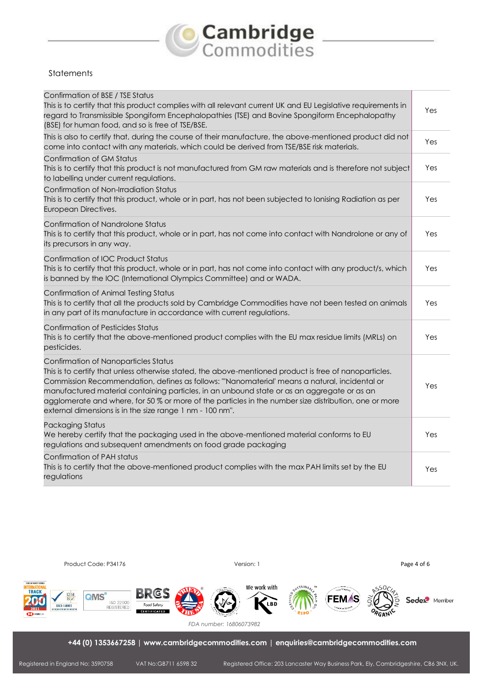

## **Statements**

| Confirmation of BSE / TSE Status<br>This is to certify that this product complies with all relevant current UK and EU Legislative requirements in<br>regard to Transmissible Spongiform Encephalopathies (TSE) and Bovine Spongiform Encephalopathy<br>(BSE) for human food, and so is free of TSE/BSE.                                                                                                                                                                                                             | Yes |
|---------------------------------------------------------------------------------------------------------------------------------------------------------------------------------------------------------------------------------------------------------------------------------------------------------------------------------------------------------------------------------------------------------------------------------------------------------------------------------------------------------------------|-----|
| This is also to certify that, during the course of their manufacture, the above-mentioned product did not<br>come into contact with any materials, which could be derived from TSE/BSE risk materials.                                                                                                                                                                                                                                                                                                              | Yes |
| Confirmation of GM Status<br>This is to certify that this product is not manufactured from GM raw materials and is therefore not subject<br>to labelling under current regulations.                                                                                                                                                                                                                                                                                                                                 | Yes |
| Confirmation of Non-Irradiation Status<br>This is to certify that this product, whole or in part, has not been subjected to Ionising Radiation as per<br>European Directives.                                                                                                                                                                                                                                                                                                                                       | Yes |
| Confirmation of Nandrolone Status<br>This is to certify that this product, whole or in part, has not come into contact with Nandrolone or any of<br>its precursors in any way.                                                                                                                                                                                                                                                                                                                                      | Yes |
| Confirmation of IOC Product Status<br>This is to certify that this product, whole or in part, has not come into contact with any product/s, which<br>is banned by the IOC (International Olympics Committee) and or WADA.                                                                                                                                                                                                                                                                                           | Yes |
| Confirmation of Animal Testing Status<br>This is to certify that all the products sold by Cambridge Commodities have not been tested on animals<br>in any part of its manufacture in accordance with current regulations.                                                                                                                                                                                                                                                                                           | Yes |
| <b>Confirmation of Pesticides Status</b><br>This is to certify that the above-mentioned product complies with the EU max residue limits (MRLs) on<br>pesticides.                                                                                                                                                                                                                                                                                                                                                    | Yes |
| Confirmation of Nanoparticles Status<br>This is to certify that unless otherwise stated, the above-mentioned product is free of nanoparticles.<br>Commission Recommendation, defines as follows: "'Nanomaterial' means a natural, incidental or<br>manufactured material containing particles, in an unbound state or as an aggregate or as an<br>agglomerate and where, for 50 % or more of the particles in the number size distribution, one or more<br>external dimensions is in the size range 1 nm - 100 nm". | Yes |
| <b>Packaging Status</b><br>We hereby certify that the packaging used in the above-mentioned material conforms to EU<br>regulations and subsequent amendments on food grade packaging                                                                                                                                                                                                                                                                                                                                | Yes |
| Confirmation of PAH status<br>This is to certify that the above-mentioned product complies with the max PAH limits set by the EU<br>regulations                                                                                                                                                                                                                                                                                                                                                                     | Yes |

Product Code: P34176 **Product Code: P34176** Product Code: P34176 **Page 4 of 6** Page 4 of 6



*FDA number: 16806073982*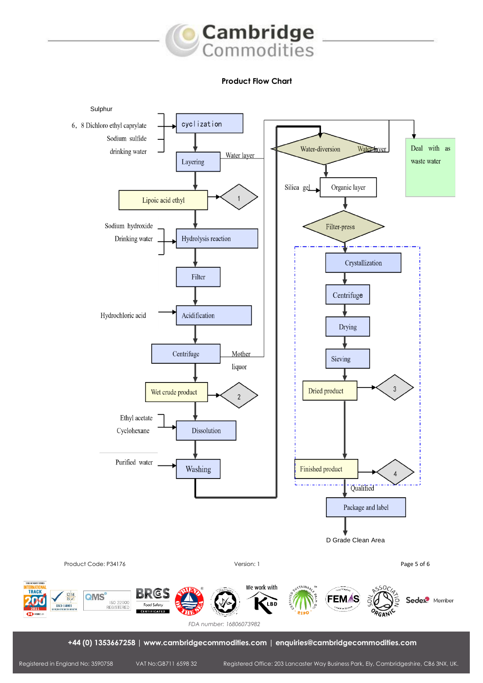

## **Product Flow Chart**